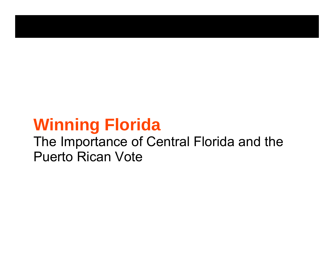# **Winning Florida**

# The Importance of Central Florida and the Puerto Rican Vote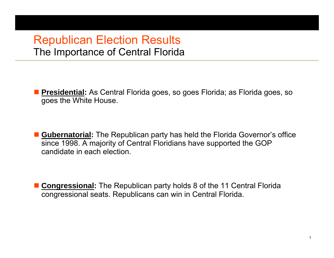#### Republican Election Results The Importance of Central Florida

 **Presidential:** As Central Florida goes, so goes Florida; as Florida goes, so goes the White House.

■ Gubernatorial: The Republican party has held the Florida Governor's office since 1998. A majority of Central Floridians have supported the GOP candidate in each election.

■ **Congressional:** The Republican party holds 8 of the 11 Central Florida congressional seats. Republicans can win in Central Florida.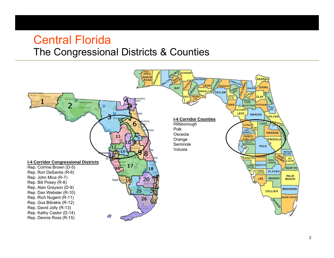#### Central Florida The Congressional Districts & Counties

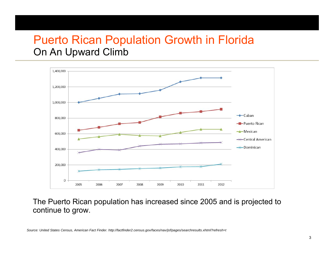#### Puerto Rican Population Growth in Florida On An Upward Climb



The Puerto Rican population has increased since 2005 and is projected to continue to grow.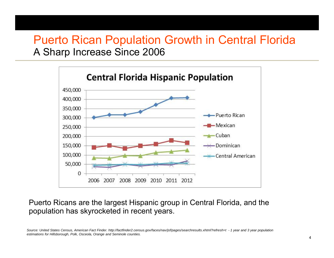#### Puerto Rican Population Growth in Central Florida A Sharp Increase Since 2006



Puerto Ricans are the largest Hispanic group in Central Florida, and the population has skyrocketed in recent years.

*Source: United States Census, American Fact Finder. http://factfinder2.census.gov/faces/nav/jsf/pages/searchresults.xhtml?refresh=t - 1 year and 3 year population estimations for Hillsborough, Polk, Osceola, Orange and Seminole counties.*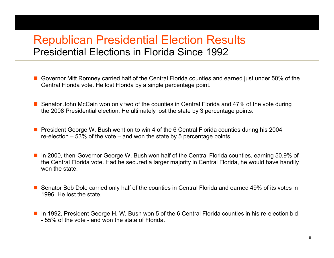### Republican Presidential Election Results Presidential Elections in Florida Since 1992

- Governor Mitt Romney carried half of the Central Florida counties and earned just under 50% of the Central Florida vote. He lost Florida by a single percentage point.
- Senator John McCain won only two of the counties in Central Florida and 47% of the vote during the 2008 Presidential election. He ultimately lost the state by 3 percentage points.
- **Peramish and Finds** President George W. Bush went on to win 4 of the 6 Central Florida counties during his 2004 re-election – 53% of the vote – and won the state by 5 percentage points.
- In 2000, then-Governor George W. Bush won half of the Central Florida counties, earning 50.9% of the Central Florida vote. Had he secured a larger majority in Central Florida, he would have handily won the state.
- Senator Bob Dole carried only half of the counties in Central Florida and earned 49% of its votes in 1996. He lost the state.
- In 1992, President George H. W. Bush won 5 of the 6 Central Florida counties in his re-election bid - 55% of the vote - and won the state of Florida.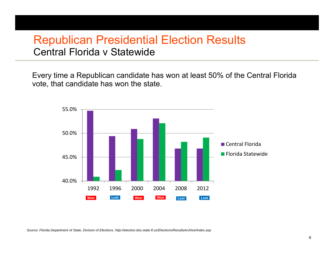### Republican Presidential Election Results Central Florida v Statewide

Every time a Republican candidate has won at least 50% of the Central Florida vote, that candidate has won the state.

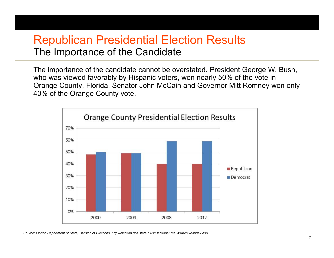### Republican Presidential Election Results The Importance of the Candidate

The importance of the candidate cannot be overstated. President George W. Bush, who was viewed favorably by Hispanic voters, won nearly 50% of the vote in Orange County, Florida. Senator John McCain and Governor Mitt Romney won only 40% of the Orange County vote.

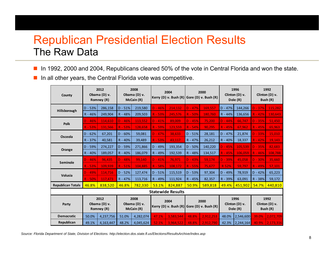# Republican Presidential Election Results The Raw Data

 $\mathcal{L}_{\mathcal{A}}$ In 1992, 2000 and 2004, Republicans cleared 50% of the vote in Central Florida and won the state.

n. In all other years, the Central Florida vote was competitive.

| County                   | 2012<br>Obama (D) v.<br>Romney (R) |           | 2008<br>Obama (D) v.<br>McCain (R) |           | 2004<br>Kerry (D) v. Bush $(R)$ Gore (D) v. Bush $(R)$ |           |           | 2000      | 1996<br>Clinton (D) v.<br>Dole (R)   |           | 1992<br>Clinton (D) v.<br>Bush (R) |           |
|--------------------------|------------------------------------|-----------|------------------------------------|-----------|--------------------------------------------------------|-----------|-----------|-----------|--------------------------------------|-----------|------------------------------------|-----------|
| Hillsborough             | $D - 53%$                          | 286,158   | $D - 51%$                          | 219,580   | $D - 46%$                                              | 214,132   | $D - 47%$ | 169,557   | $D - 47%$                            | 144,266   | $D - 37%$                          | 115,282   |
|                          | $R - 46%$                          | 249,904   | R - 48%                            | 209,503   | $R - 53%$                                              | 245,576   | $R - 50%$ | 180,760   | R - 44%                              | 136,656   | $R - 42%$                          | 130,643   |
| <b>Polk</b>              | $D - 46%$                          | 114,610   | $D - 46%$                          | 113,552   | $D - 41%$                                              | 89,009    | $D - 45%$ | 75,200    | $D - 44%$                            | 66,747    | $D - 35%$                          | 51,450    |
|                          | $R - 53%$                          | 131,566   | $R - 53%$                          | 128,658   | R - 59%                                                | 123,559   | $R - 54%$ | 90,295    | $R - 45%$                            | 67,962    | $R - 45%$                          | 65,963    |
| Osceola                  | $D - 62%$                          | 67,201    | $D - 60%$                          | 59,081    | $D - 47%$                                              | 38.633    | $D - 51%$ | 28,181    | $D - 47%$                            | 21,874    | $D - 33%$                          | 15,010    |
|                          | R - 37%                            | 40,581    | R - 40%                            | 39,489    | $R - 53%$                                              | 43,117    | R - 47%   | 26,212    | R - 40%                              | 18,337    | $R - 42%$                          | 19,143    |
| Orange                   | D - 59%                            | 274,227   | $D - 59%$                          | 271,866   | D - 49%                                                | 193,354   | $D - 50%$ | 140,220   | $D - 45%$                            | 105,539   | $D - 35%$                          | 82,683    |
|                          | R - 40%                            | 189,057   | $R - 40%$                          | 186,079   | R - 49%                                                | 192,539   | R - 48%   | 134,517   | $R - 45%$                            | 106,059   | $R - 46%$                          | 108,788   |
| Seminole                 | $D - 46%$                          | 96,435    | $D - 48%$                          | 99,140    | $D - 41%$                                              | 76,971    | $D - 43%$ | 59,174    | $D - 39%$                            | 45,058    | $D - 30%$                          | 35,660    |
|                          | $R - 53%$                          | 109,939   | $R - 51%$                          | 104,885   | R - 58%                                                | 108,172   | $R - 55%$ | 75,677    | R 52%                                | 59,797    | R - 49%                            | 57,101    |
| Volusia                  | $D - 49%$                          | 114,716   | $D - 52%$                          | 127,474   | $D - 51%$                                              | 115,519   | $D - 53%$ | 97,304    | $D - 49%$                            | 78,919    | $D - 42%$                          | 65,223    |
|                          | $R - 50%$                          | 117,473   | R - 47%                            | 113,716   | R - 49%                                                | 111,924   | R - 45%   | 82,357    | R - 39%                              | 63,091    | R - 38%                            | 59,172    |
| <b>Republican Totals</b> | 46.8%                              | 838,520   | 46.8%                              | 782,330   | 53.1%                                                  | 824,887   | 50.9%     | 589,818   | 49.4%                                | 451,902   | 54.7%                              | 440,810   |
| <b>Statewide Results</b> |                                    |           |                                    |           |                                                        |           |           |           |                                      |           |                                    |           |
| Party                    | 2012<br>Obama (D) v.<br>Romney (R) |           | 2008<br>Obama (D) v.<br>McCain (R) |           | 2004<br>Kerry (D) v. Bush $(R)$ Gore (D) v. Bush $(R)$ |           | 2000      |           | 1996<br>Clinton $(D)$ v.<br>Dole (R) |           | 1992<br>Clinton (D) v.<br>Bush (R) |           |
| <b>Democratic</b>        | 50.0%                              | 4,237,756 | 51.0%                              | 4,282,074 | 47.1%                                                  | 3,583,544 | 48.8%     | 2,912,253 | 48.0%                                | 2,546,600 | 39.0%                              | 2,072,709 |
| Republican               | 49.1%                              | 4,163,447 | 48.2%                              | 4,045,624 | 52.1%                                                  | 3,964,522 | 48.8%     | 2,912,790 | 42.3%                                | 2,244,164 | 40.9%                              | 2,173,316 |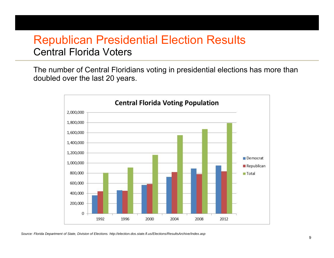# Republican Presidential Election Results Central Florida Voters

The number of Central Floridians voting in presidential elections has more than doubled over the last 20 years.

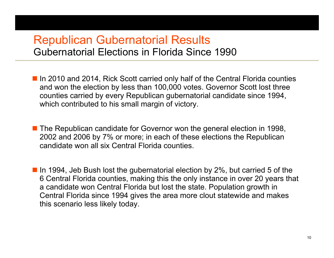#### Republican Gubernatorial Results Gubernatorial Elections in Florida Since 1990

- In 2010 and 2014, Rick Scott carried only half of the Central Florida counties and won the election by less than 100,000 votes. Governor Scott lost three counties carried by every Republican gubernatorial candidate since 1994, which contributed to his small margin of victory.
- The Republican candidate for Governor won the general election in 1998, 2002 and 2006 by 7% or more; in each of these elections the Republican candidate won all six Central Florida counties.
- In 1994, Jeb Bush lost the gubernatorial election by 2%, but carried 5 of the 6 Central Florida counties, making this the only instance in over 20 years that a candidate won Central Florida but lost the state. Population growth in Central Florida since 1994 gives the area more clout statewide and makes this scenario less likely today.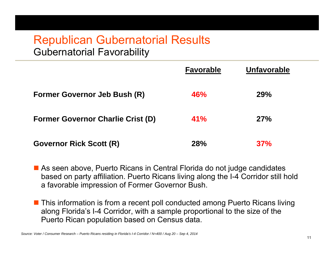#### Republican Gubernatorial Results Gubernatorial Favorability

|                                          | <b>Favorable</b> | <b>Unfavorable</b> |
|------------------------------------------|------------------|--------------------|
| <b>Former Governor Jeb Bush (R)</b>      | 46%              | <b>29%</b>         |
| <b>Former Governor Charlie Crist (D)</b> | 41%              | 27%                |
| <b>Governor Rick Scott (R)</b>           | 28%              | 37%                |

■ As seen above, Puerto Ricans in Central Florida do not judge candidates based on party affiliation. Puerto Ricans living along the I-4 Corridor still hold a favorable impression of Former Governor Bush.

■ This information is from a recent poll conducted among Puerto Ricans living along Florida's I-4 Corridor, with a sample proportional to the size of the Puerto Rican population based on Census data.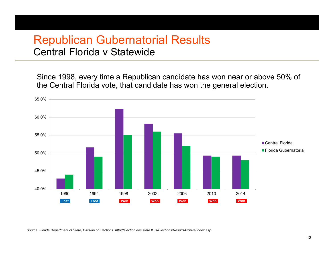#### Republican Gubernatorial Results Central Florida v Statewide

Since 1998, every time a Republican candidate has won near or above 50% of the Central Florida vote, that candidate has won the general election.

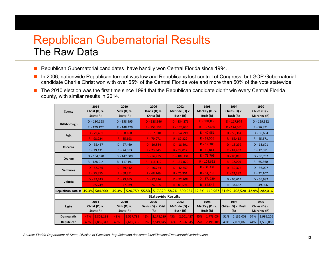# Republican Gubernatorial Results The Raw Data

- $\mathbb{Z}$ Republican Gubernatorial candidates have handily won Central Florida since 1994.
- $\mathcal{C}_{\mathcal{A}}$  In 2006, nationwide Republican turnout was low and Republicans lost control of Congress, but GOP Gubernatorial candidate Charlie Christ won with over 55% of the Central Florida vote and more than 50% of the vote statewide.
- $\mathbf{r}$  The 2010 election was the first time since 1994 that the Republican candidate didn't win every Central Florida county, with similar results in 2014.

| County                           |                               | 2014<br>Christ (D) v.<br>Scott (R) | 2010<br>Sink (D) v.<br>Scott (R) |              | 2006<br>Davis (D) v.<br>Christ (R) |                                                                               | 2002<br>McBride (D) v.<br>Bush (R) |                       | 1998<br>MacKay (D) v.<br>Bush (R) |              | 1994<br>Chiles (D) v.<br>Bush (R) |                  | 1990<br>Chiles (D) v.<br>Martinez (R) |              |
|----------------------------------|-------------------------------|------------------------------------|----------------------------------|--------------|------------------------------------|-------------------------------------------------------------------------------|------------------------------------|-----------------------|-----------------------------------|--------------|-----------------------------------|------------------|---------------------------------------|--------------|
| Hillsborough                     |                               | $D - 180,168$                      | $D - 158,995$                    |              | $D - 128,946$                      |                                                                               | $D - 134.276$                      |                       | $D - 101,038$                     |              | $D - 117,974$                     |                  | $D - 129,322$                         |              |
|                                  |                               | R - 170,127                        | R - 148,429                      |              | R - 153,134                        |                                                                               | $R - 175,630$                      |                       | $R - 127,686$                     |              | R - 124,561                       |                  | R - 76,891                            |              |
| <b>Polk</b>                      |                               | $D - 79,481$                       | $D - 68,168$                     |              | $D - 57,018$                       |                                                                               | $D - 54,299$                       |                       | $D - 47,951$                      |              | $D - 58,364$                      |                  | $D - 58,654$                          |              |
|                                  |                               | $R - 98,224$                       | $R - 85,693$                     |              | $R - 79,071$                       |                                                                               | $R - 87,322$                       |                       | $R - 69,506$                      |              | $R - 65,415$                      |                  | $R - 45,671$                          |              |
| Osceola                          |                               | $D - 35,457$                       | $D - 27,469$                     |              | $D - 19,864$                       |                                                                               | $D - 18,591$                       |                       | $D - 12,383$                      |              | $D - 15,292$                      |                  | $D - 13,601$                          |              |
|                                  |                               | R - 29,431                         | $R - 24,053$                     |              | $R - 23.945$                       |                                                                               | $R - 29,017$                       |                       | $R - 19,841$                      |              | $R - 18,437$                      |                  | R - 12,381                            |              |
|                                  |                               | $D - 164,570$                      | $D - 147,509$                    |              | $D - 96,795$                       |                                                                               | $D - 102,134$                      |                       | $D - 73,709$                      |              | $D - 85,098$                      |                  | $D - 80,762$                          |              |
| Orange                           |                               | R - 128,014                        | R - 117,191                      |              | $R - 116,412$                      |                                                                               | $R - 137,070$                      |                       | $R - 104,652$                     |              | $R - 92,096$                      |                  | $R - 65,360$                          |              |
| Seminole                         |                               | $D - 62,786$                       | $D - 59,412$                     |              | $D - 40,724$                       |                                                                               | $D - 42,357$                       |                       | $D - 31,331$                      |              | $D - 39,324$                      |                  | $D - 36,027$                          |              |
|                                  |                               | $R - 73,355$                       | $R - 68,351$                     |              | $R - 68,149$                       |                                                                               | $R - 76,301$                       |                       | $R - 54,738$                      |              | $R - 49.387$                      |                  | $R - 32,107$                          |              |
| Volusia                          |                               | $D - 79,315$                       | $D - 73,765$                     |              | $D - 72.216$                       |                                                                               | $D - 72.208$                       |                       | $D - 57, 229$                     |              | $D - 66,614$                      |                  | $D - 56,982$                          |              |
|                                  |                               | $R - 85,749$                       |                                  | $R - 77,039$ |                                    | $R - 76,618$                                                                  |                                    | $R - 85.594$          |                                   | $R - 64,544$ |                                   | $R - 58,632$     |                                       | $R - 49,606$ |
| Republican Totals: 49.3% 584,900 |                               |                                    | 49.3%                            |              |                                    | 520,759 55.5% 517,329 58.2% 590,934 62.3% 440,967 51.6% 408,528 42.9% 282,016 |                                    |                       |                                   |              |                                   |                  |                                       |              |
| <b>Statewide Results</b>         |                               |                                    |                                  |              |                                    |                                                                               |                                    |                       |                                   |              |                                   |                  |                                       |              |
| Party                            | 2014                          |                                    | 2010                             |              | 2006                               |                                                                               | 2002                               |                       | 1998                              |              | 1994                              |                  | 1990                                  |              |
|                                  | Christ (D) v.                 |                                    | Sink (D) v.                      |              | Davis (D) v. Crist                 |                                                                               | McBride (D) v.                     |                       | MacKay (D) v.<br>Bush (R)         |              | Chiles (D) v. Bush                |                  | Chiles (D) v.<br>Martinez (R)         |              |
| <b>Democratic</b>                | Scott (R)<br>2,801,198<br>47% |                                    | Scott (R)<br>2,557,785<br>48%    |              | 45%                                | (R)<br>2,178,289                                                              | 43%                                | Bush (R)<br>2,201,427 | 45%                               | 1,773,054    | 51%                               | (R)<br>2,135,008 | 57%                                   | 1,995,206    |
|                                  |                               |                                    |                                  |              | 52%                                |                                                                               | 56%                                |                       | 55%                               |              |                                   |                  | 44%                                   |              |
| Republican                       | 48%                           | 2,865,343                          | 49%                              | 2,619,335    |                                    | 2,519,845                                                                     |                                    | 2,856,845             |                                   | 2,191,105    | 49%                               | 2,071,068        |                                       | 1,535,068    |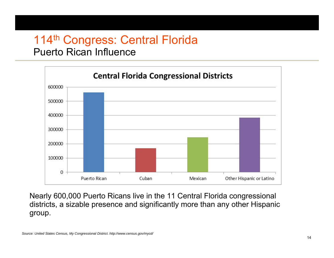# 114<sup>th</sup> Congress: Central Florida

#### Puerto Rican Influence



Nearly 600,000 Puerto Ricans live in the 11 Central Florida congressional districts, a sizable presence and significantly more than any other Hispanic group.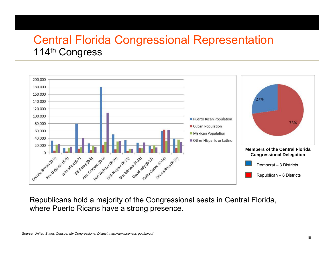# Central Florida Congressional Representation 114th Congress



Republicans hold a majority of the Congressional seats in Central Florida, where Puerto Ricans have a strong presence.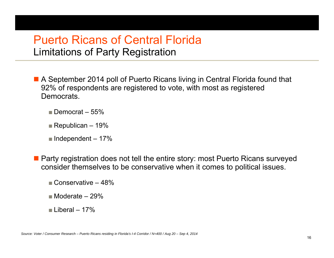#### Puerto Ricans of Central FloridaLimitations of Party Registration

■ A September 2014 poll of Puerto Ricans living in Central Florida found that 92% of respondents are registered to vote, with most as registered Democrats.

- $\blacksquare$  Democrat 55%
- Republican 19%
- Independent 17%
- **Party registration does not tell the entire story: most Puerto Ricans surveyed** consider themselves to be conservative when it comes to political issues.
	- Conservative 48%
	- Moderate 29%
	- Liberal 17%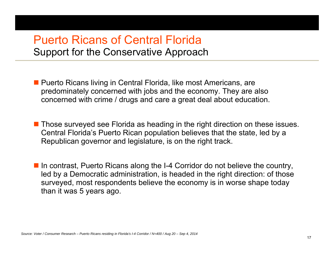#### Puerto Ricans of Central FloridaSupport for the Conservative Approach

■ Puerto Ricans living in Central Florida, like most Americans, are predominately concerned with jobs and the economy. They are also concerned with crime / drugs and care a great deal about education.

■ Those surveyed see Florida as heading in the right direction on these issues. Central Florida's Puerto Rican population believes that the state, led by a Republican governor and legislature, is on the right track.

■ In contrast, Puerto Ricans along the I-4 Corridor do not believe the country, led by a Democratic administration, is headed in the right direction: of those surveyed, most respondents believe the economy is in worse shape today than it was 5 years ago.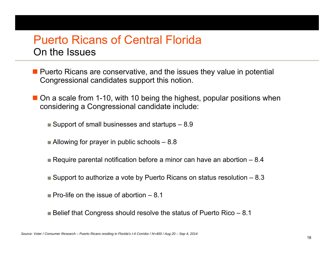#### Puerto Ricans of Central FloridaOn the Issues

- **Puerto Ricans are conservative, and the issues they value in potential** Congressional candidates support this notion.
- On a scale from 1-10, with 10 being the highest, popular positions when considering a Congressional candidate include:
	- Support of small businesses and startups 8.9
	- Allowing for prayer in public schools 8.8
	- Require parental notification before a minor can have an abortion 8.4
	- Support to authorize a vote by Puerto Ricans on status resolution 8.3
	- $\blacksquare$  Pro-life on the issue of abortion  $-$  8.1
	- Belief that Congress should resolve the status of Puerto Rico 8.1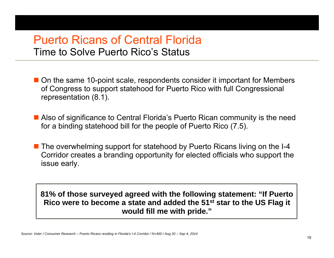#### Puerto Ricans of Central FloridaTime to Solve Puerto Rico's Status

- On the same 10-point scale, respondents consider it important for Members of Congress to support statehood for Puerto Rico with full Congressional representation (8.1).
- Also of significance to Central Florida's Puerto Rican community is the need for a binding statehood bill for the people of Puerto Rico (7.5).
- The overwhelming support for statehood by Puerto Ricans living on the I-4 Corridor creates a branding opportunity for elected officials who support the issue early.

**81% of those surveyed agreed with the following statement: "If Puerto Rico were to become a state and added the 51st star to the US Flag it would fill me with pride."**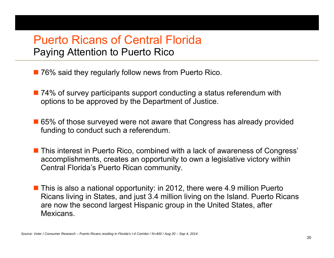### Puerto Ricans of Central FloridaPaying Attention to Puerto Rico

- 76% said they regularly follow news from Puerto Rico.
- 74% of survey participants support conducting a status referendum with options to be approved by the Department of Justice.
- 65% of those surveyed were not aware that Congress has already provided funding to conduct such a referendum.
- This interest in Puerto Rico, combined with a lack of awareness of Congress' accomplishments, creates an opportunity to own a legislative victory within Central Florida's Puerto Rican community.
- This is also a national opportunity: in 2012, there were 4.9 million Puerto Ricans living in States, and just 3.4 million living on the Island. Puerto Ricans are now the second largest Hispanic group in the United States, after Mexicans.